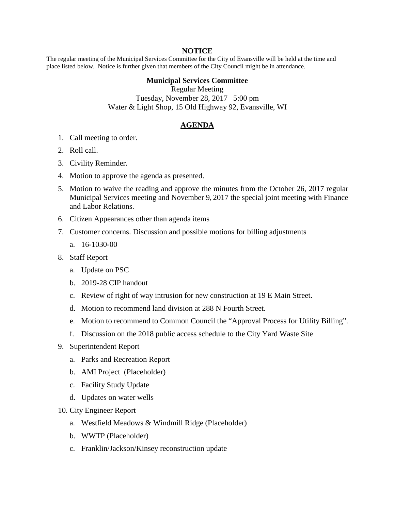## **NOTICE**

The regular meeting of the Municipal Services Committee for the City of Evansville will be held at the time and place listed below. Notice is further given that members of the City Council might be in attendance.

## **Municipal Services Committee**

Regular Meeting Tuesday, November 28, 2017 5:00 pm Water & Light Shop, 15 Old Highway 92, Evansville, WI

## **AGENDA**

- 1. Call meeting to order.
- 2. Roll call.
- 3. Civility Reminder.
- 4. Motion to approve the agenda as presented.
- 5. Motion to waive the reading and approve the minutes from the October 26, 2017 regular Municipal Services meeting and November 9, 2017 the special joint meeting with Finance and Labor Relations.
- 6. Citizen Appearances other than agenda items
- 7. Customer concerns. Discussion and possible motions for billing adjustments
	- a. 16-1030-00
- 8. Staff Report
	- a. Update on PSC
	- b. 2019-28 CIP handout
	- c. Review of right of way intrusion for new construction at 19 E Main Street.
	- d. Motion to recommend land division at 288 N Fourth Street.
	- e. Motion to recommend to Common Council the "Approval Process for Utility Billing".
	- f. Discussion on the 2018 public access schedule to the City Yard Waste Site
- 9. Superintendent Report
	- a. Parks and Recreation Report
	- b. AMI Project (Placeholder)
	- c. Facility Study Update
	- d. Updates on water wells
- 10. City Engineer Report
	- a. Westfield Meadows & Windmill Ridge (Placeholder)
	- b. WWTP (Placeholder)
	- c. Franklin/Jackson/Kinsey reconstruction update